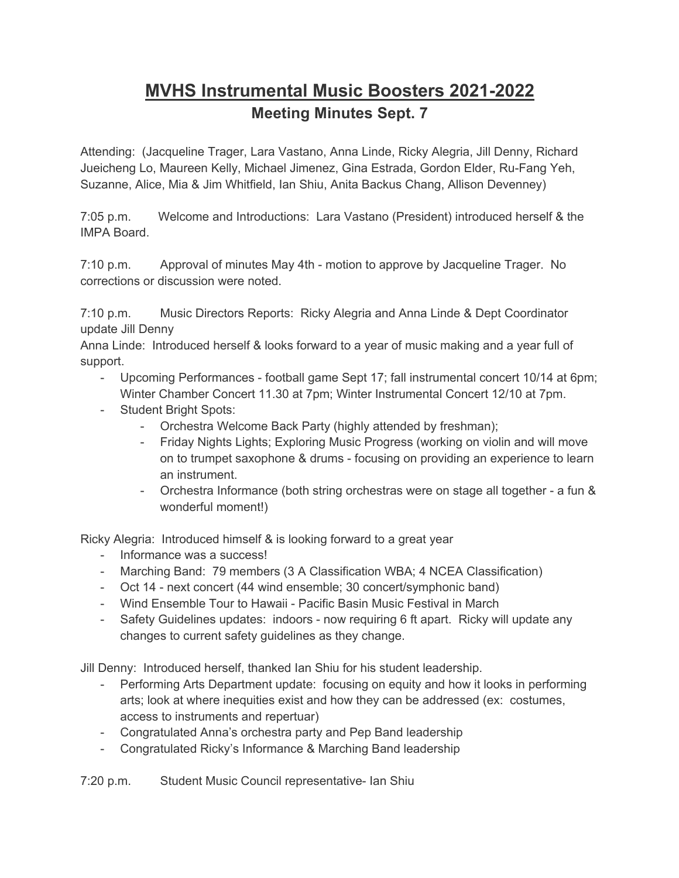## **MVHS Instrumental Music Boosters 2021-2022 Meeting Minutes Sept. 7**

Attending: (Jacqueline Trager, Lara Vastano, Anna Linde, Ricky Alegria, Jill Denny, Richard Jueicheng Lo, Maureen Kelly, Michael Jimenez, Gina Estrada, Gordon Elder, Ru-Fang Yeh, Suzanne, Alice, Mia & Jim Whitfield, Ian Shiu, Anita Backus Chang, Allison Devenney)

7:05 p.m. Welcome and Introductions: Lara Vastano (President) introduced herself & the IMPA Board.

7:10 p.m. Approval of minutes May 4th - motion to approve by Jacqueline Trager. No corrections or discussion were noted.

7:10 p.m. Music Directors Reports: Ricky Alegria and Anna Linde & Dept Coordinator update Jill Denny

Anna Linde: Introduced herself & looks forward to a year of music making and a year full of support.

- Upcoming Performances football game Sept 17; fall instrumental concert 10/14 at 6pm; Winter Chamber Concert 11.30 at 7pm; Winter Instrumental Concert 12/10 at 7pm.
- Student Bright Spots:
	- Orchestra Welcome Back Party (highly attended by freshman);
	- Friday Nights Lights; Exploring Music Progress (working on violin and will move on to trumpet saxophone & drums - focusing on providing an experience to learn an instrument.
	- Orchestra Informance (both string orchestras were on stage all together a fun & wonderful moment!)

Ricky Alegria: Introduced himself & is looking forward to a great year

- Informance was a success!
- Marching Band: 79 members (3 A Classification WBA; 4 NCEA Classification)
- Oct 14 next concert (44 wind ensemble; 30 concert/symphonic band)
- Wind Ensemble Tour to Hawaii Pacific Basin Music Festival in March
- Safety Guidelines updates: indoors now requiring 6 ft apart. Ricky will update any changes to current safety guidelines as they change.

Jill Denny: Introduced herself, thanked Ian Shiu for his student leadership.

- Performing Arts Department update: focusing on equity and how it looks in performing arts; look at where inequities exist and how they can be addressed (ex: costumes, access to instruments and repertuar)
- Congratulated Anna's orchestra party and Pep Band leadership
- Congratulated Ricky's Informance & Marching Band leadership

7:20 p.m. Student Music Council representative- Ian Shiu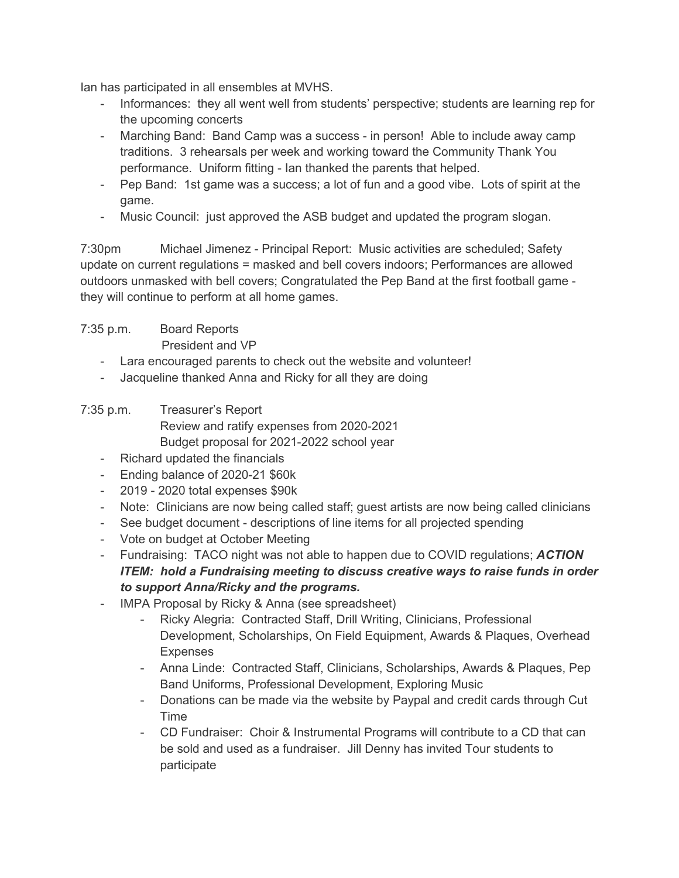Ian has participated in all ensembles at MVHS.

- Informances: they all went well from students' perspective; students are learning rep for the upcoming concerts
- Marching Band: Band Camp was a success in person! Able to include away camp traditions. 3 rehearsals per week and working toward the Community Thank You performance. Uniform fitting - Ian thanked the parents that helped.
- Pep Band: 1st game was a success; a lot of fun and a good vibe. Lots of spirit at the game.
- Music Council: just approved the ASB budget and updated the program slogan.

7:30pm Michael Jimenez - Principal Report: Music activities are scheduled; Safety update on current regulations = masked and bell covers indoors; Performances are allowed outdoors unmasked with bell covers; Congratulated the Pep Band at the first football game they will continue to perform at all home games.

## 7:35 p.m. Board Reports

President and VP

- Lara encouraged parents to check out the website and volunteer!
- Jacqueline thanked Anna and Ricky for all they are doing

## 7:35 p.m. Treasurer's Report Review and ratify expenses from 2020-2021 Budget proposal for 2021-2022 school year

- Richard updated the financials
- Ending balance of 2020-21 \$60k
- 2019 2020 total expenses \$90k
- Note: Clinicians are now being called staff; guest artists are now being called clinicians
- See budget document descriptions of line items for all projected spending
- Vote on budget at October Meeting
- Fundraising: TACO night was not able to happen due to COVID regulations; *ACTION ITEM: hold a Fundraising meeting to discuss creative ways to raise funds in order to support Anna/Ricky and the programs.*
- IMPA Proposal by Ricky & Anna (see spreadsheet)
	- Ricky Alegria: Contracted Staff, Drill Writing, Clinicians, Professional Development, Scholarships, On Field Equipment, Awards & Plaques, Overhead Expenses
	- Anna Linde: Contracted Staff, Clinicians, Scholarships, Awards & Plaques, Pep Band Uniforms, Professional Development, Exploring Music
	- Donations can be made via the website by Paypal and credit cards through Cut Time
	- CD Fundraiser: Choir & Instrumental Programs will contribute to a CD that can be sold and used as a fundraiser. Jill Denny has invited Tour students to participate